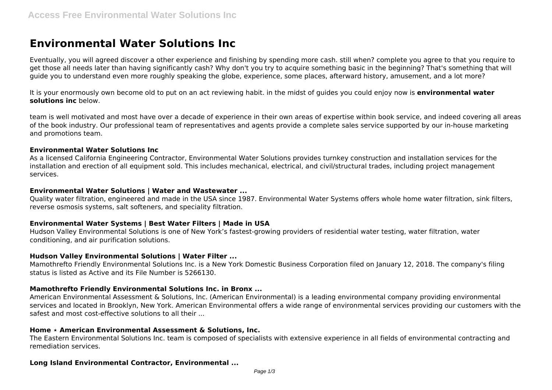# **Environmental Water Solutions Inc**

Eventually, you will agreed discover a other experience and finishing by spending more cash. still when? complete you agree to that you require to get those all needs later than having significantly cash? Why don't you try to acquire something basic in the beginning? That's something that will guide you to understand even more roughly speaking the globe, experience, some places, afterward history, amusement, and a lot more?

It is your enormously own become old to put on an act reviewing habit. in the midst of guides you could enjoy now is **environmental water solutions inc** below.

team is well motivated and most have over a decade of experience in their own areas of expertise within book service, and indeed covering all areas of the book industry. Our professional team of representatives and agents provide a complete sales service supported by our in-house marketing and promotions team.

#### **Environmental Water Solutions Inc**

As a licensed California Engineering Contractor, Environmental Water Solutions provides turnkey construction and installation services for the installation and erection of all equipment sold. This includes mechanical, electrical, and civil/structural trades, including project management services.

# **Environmental Water Solutions | Water and Wastewater ...**

Quality water filtration, engineered and made in the USA since 1987. Environmental Water Systems offers whole home water filtration, sink filters, reverse osmosis systems, salt softeners, and speciality filtration.

# **Environmental Water Systems | Best Water Filters | Made in USA**

Hudson Valley Environmental Solutions is one of New York's fastest-growing providers of residential water testing, water filtration, water conditioning, and air purification solutions.

# **Hudson Valley Environmental Solutions | Water Filter ...**

Mamothrefto Friendly Environmental Solutions Inc. is a New York Domestic Business Corporation filed on January 12, 2018. The company's filing status is listed as Active and its File Number is 5266130.

# **Mamothrefto Friendly Environmental Solutions Inc. in Bronx ...**

American Environmental Assessment & Solutions, Inc. (American Environmental) is a leading environmental company providing environmental services and located in Brooklyn, New York. American Environmental offers a wide range of environmental services providing our customers with the safest and most cost-effective solutions to all their ...

#### **Home ⋆ American Environmental Assessment & Solutions, Inc.**

The Eastern Environmental Solutions Inc. team is composed of specialists with extensive experience in all fields of environmental contracting and remediation services.

# **Long Island Environmental Contractor, Environmental ...**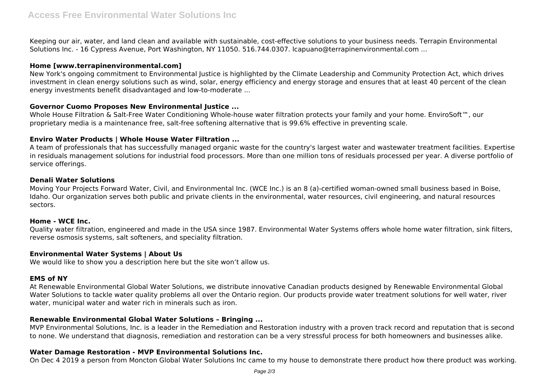Keeping our air, water, and land clean and available with sustainable, cost-effective solutions to your business needs. Terrapin Environmental Solutions Inc. - 16 Cypress Avenue, Port Washington, NY 11050. 516.744.0307. lcapuano@terrapinenvironmental.com ...

# **Home [www.terrapinenvironmental.com]**

New York's ongoing commitment to Environmental Justice is highlighted by the Climate Leadership and Community Protection Act, which drives investment in clean energy solutions such as wind, solar, energy efficiency and energy storage and ensures that at least 40 percent of the clean energy investments benefit disadvantaged and low-to-moderate ...

# **Governor Cuomo Proposes New Environmental Justice ...**

Whole House Filtration & Salt-Free Water Conditioning Whole-house water filtration protects your family and your home. EnviroSoft™, our proprietary media is a maintenance free, salt-free softening alternative that is 99.6% effective in preventing scale.

# **Enviro Water Products | Whole House Water Filtration ...**

A team of professionals that has successfully managed organic waste for the country's largest water and wastewater treatment facilities. Expertise in residuals management solutions for industrial food processors. More than one million tons of residuals processed per year. A diverse portfolio of service offerings.

# **Denali Water Solutions**

Moving Your Projects Forward Water, Civil, and Environmental Inc. (WCE Inc.) is an 8 (a)-certified woman-owned small business based in Boise, Idaho. Our organization serves both public and private clients in the environmental, water resources, civil engineering, and natural resources sectors.

# **Home - WCE Inc.**

Quality water filtration, engineered and made in the USA since 1987. Environmental Water Systems offers whole home water filtration, sink filters, reverse osmosis systems, salt softeners, and speciality filtration.

# **Environmental Water Systems | About Us**

We would like to show you a description here but the site won't allow us.

# **EMS of NY**

At Renewable Environmental Global Water Solutions, we distribute innovative Canadian products designed by Renewable Environmental Global Water Solutions to tackle water quality problems all over the Ontario region. Our products provide water treatment solutions for well water, river water, municipal water and water rich in minerals such as iron.

# **Renewable Environmental Global Water Solutions – Bringing ...**

MVP Environmental Solutions, Inc. is a leader in the Remediation and Restoration industry with a proven track record and reputation that is second to none. We understand that diagnosis, remediation and restoration can be a very stressful process for both homeowners and businesses alike.

# **Water Damage Restoration - MVP Environmental Solutions Inc.**

On Dec 4 2019 a person from Moncton Global Water Solutions Inc came to my house to demonstrate there product how there product was working.